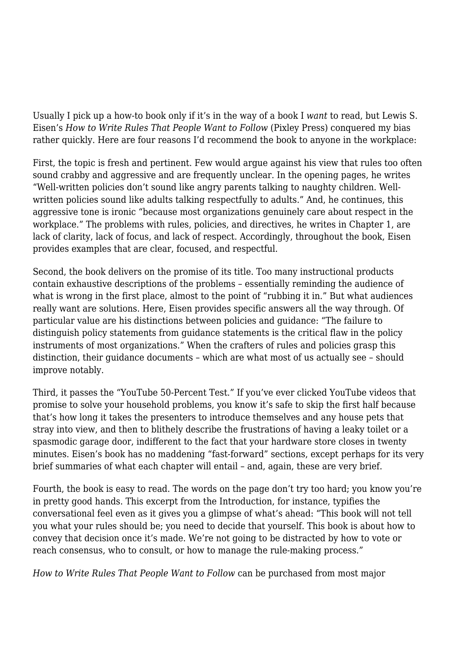Usually I pick up a how-to book only if it's in the way of a book I *want* to read, but Lewis S. Eisen's *How to Write Rules That People Want to Follow* (Pixley Press) conquered my bias rather quickly. Here are four reasons I'd recommend the book to anyone in the workplace:

First, the topic is fresh and pertinent. Few would argue against his view that rules too often sound crabby and aggressive and are frequently unclear. In the opening pages, he writes "Well-written policies don't sound like angry parents talking to naughty children. Wellwritten policies sound like adults talking respectfully to adults." And, he continues, this aggressive tone is ironic "because most organizations genuinely care about respect in the workplace." The problems with rules, policies, and directives, he writes in Chapter 1, are lack of clarity, lack of focus, and lack of respect. Accordingly, throughout the book, Eisen provides examples that are clear, focused, and respectful.

Second, the book delivers on the promise of its title. Too many instructional products contain exhaustive descriptions of the problems – essentially reminding the audience of what is wrong in the first place, almost to the point of "rubbing it in." But what audiences really want are solutions. Here, Eisen provides specific answers all the way through. Of particular value are his distinctions between policies and guidance: "The failure to distinguish policy statements from guidance statements is the critical flaw in the policy instruments of most organizations." When the crafters of rules and policies grasp this distinction, their guidance documents – which are what most of us actually see – should improve notably.

Third, it passes the "YouTube 50-Percent Test." If you've ever clicked YouTube videos that promise to solve your household problems, you know it's safe to skip the first half because that's how long it takes the presenters to introduce themselves and any house pets that stray into view, and then to blithely describe the frustrations of having a leaky toilet or a spasmodic garage door, indifferent to the fact that your hardware store closes in twenty minutes. Eisen's book has no maddening "fast-forward" sections, except perhaps for its very brief summaries of what each chapter will entail – and, again, these are very brief.

Fourth, the book is easy to read. The words on the page don't try too hard; you know you're in pretty good hands. This excerpt from the Introduction, for instance, typifies the conversational feel even as it gives you a glimpse of what's ahead: "This book will not tell you what your rules should be; you need to decide that yourself. This book is about how to convey that decision once it's made. We're not going to be distracted by how to vote or reach consensus, who to consult, or how to manage the rule-making process."

*How to Write Rules That People Want to Follow* can be purchased from most major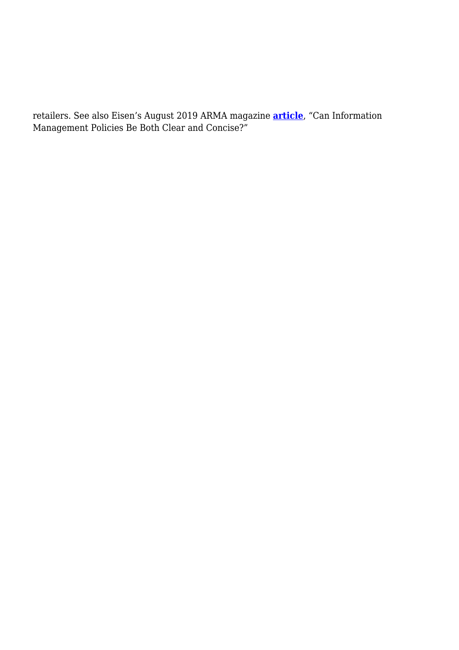retailers. See also Eisen's August 2019 ARMA magazine **[article](https://magazine.arma.org/2019/08/can-information-management-policies-be-both-clear-and-concise/)**, "Can Information Management Policies Be Both Clear and Concise?"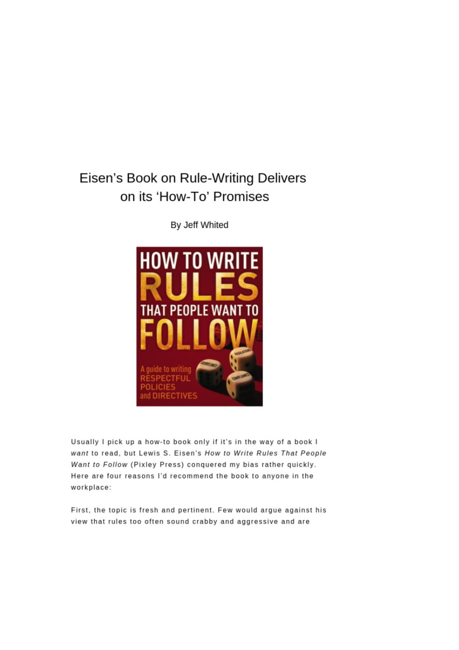## Eisen's Book on Rule-Writing Delivers on its 'How-To' Promises

By Jeff Whited



Usually I pick up a how-to book only if it's in the way of a book I want to read, but Lewis S. Eisen's How to Write Rules That People Want to Follow (Pixley Press) conquered my bias rather quickly. Here are four reasons I'd recommend the book to anyone in the workplace:

First, the topic is fresh and pertinent. Few would argue against his view that rules too often sound crabby and aggressive and are